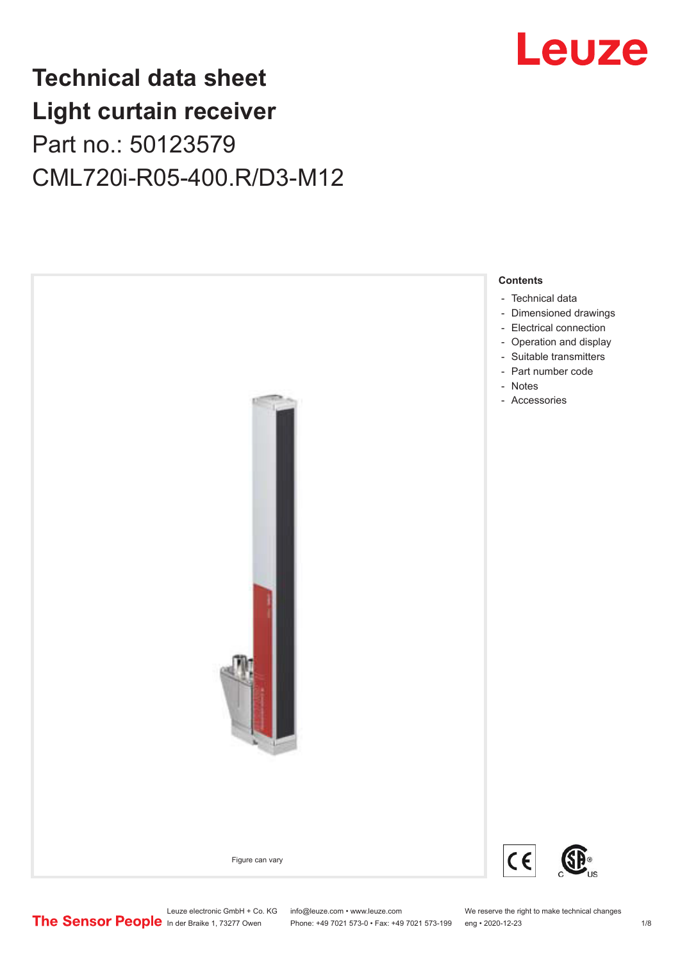# Leuze

# **Technical data sheet Light curtain receiver** Part no.: 50123579 CML720i-R05-400.R/D3-M12



Leuze electronic GmbH + Co. KG info@leuze.com • www.leuze.com We reserve the right to make technical changes<br>
The Sensor People in der Braike 1, 73277 Owen Phone: +49 7021 573-0 • Fax: +49 7021 573-199 eng • 2020-12-23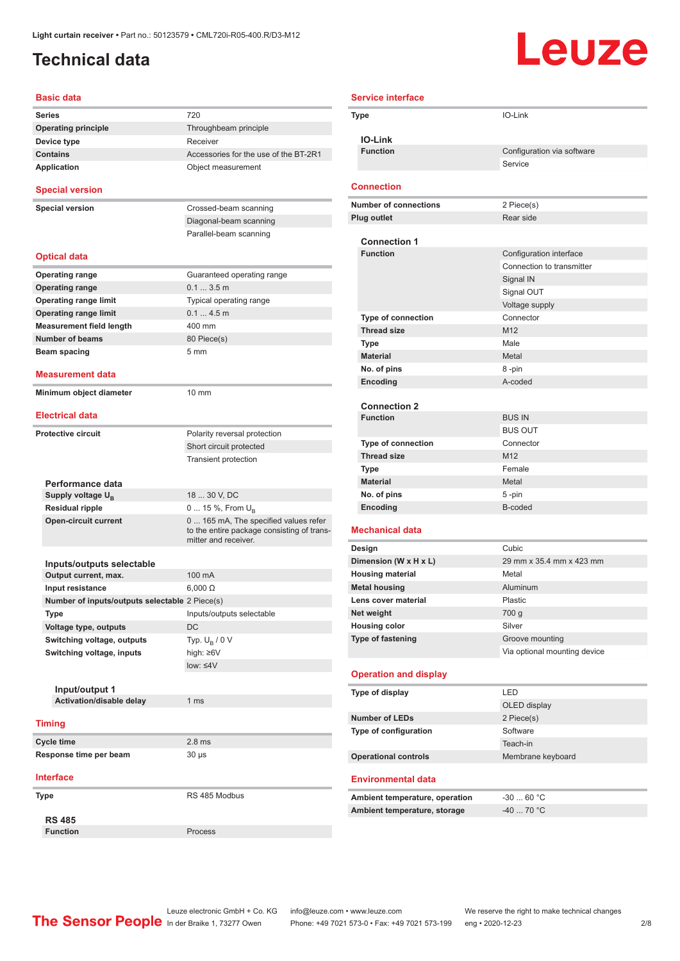### <span id="page-1-0"></span>**Technical data**

# Leuze

| <b>Basic data</b>                              |                                                                                                             |
|------------------------------------------------|-------------------------------------------------------------------------------------------------------------|
| Series                                         | 720                                                                                                         |
| <b>Operating principle</b>                     | Throughbeam principle                                                                                       |
| Device type                                    | Receiver                                                                                                    |
| <b>Contains</b>                                | Accessories for the use of the BT-2R1                                                                       |
| <b>Application</b>                             | Object measurement                                                                                          |
| <b>Special version</b>                         |                                                                                                             |
| <b>Special version</b>                         | Crossed-beam scanning                                                                                       |
|                                                | Diagonal-beam scanning                                                                                      |
|                                                | Parallel-beam scanning                                                                                      |
| <b>Optical data</b>                            |                                                                                                             |
| <b>Operating range</b>                         | Guaranteed operating range                                                                                  |
| <b>Operating range</b>                         | 0.13.5m                                                                                                     |
| <b>Operating range limit</b>                   | Typical operating range                                                                                     |
| <b>Operating range limit</b>                   | 0.14.5m                                                                                                     |
| <b>Measurement field length</b>                | 400 mm                                                                                                      |
| <b>Number of beams</b>                         | 80 Piece(s)                                                                                                 |
| <b>Beam spacing</b>                            | 5 mm                                                                                                        |
|                                                |                                                                                                             |
| <b>Measurement data</b>                        |                                                                                                             |
| Minimum object diameter                        | $10 \text{ mm}$                                                                                             |
| <b>Electrical data</b>                         |                                                                                                             |
| <b>Protective circuit</b>                      | Polarity reversal protection                                                                                |
|                                                | Short circuit protected                                                                                     |
|                                                | <b>Transient protection</b>                                                                                 |
|                                                |                                                                                                             |
| Performance data                               |                                                                                                             |
| Supply voltage U <sub>B</sub>                  | 18  30 V, DC                                                                                                |
| <b>Residual ripple</b>                         | 0  15 %, From $U_B$                                                                                         |
| <b>Open-circuit current</b>                    | 0  165 mA, The specified values refer<br>to the entire package consisting of trans-<br>mitter and receiver. |
|                                                |                                                                                                             |
| Inputs/outputs selectable                      |                                                                                                             |
| Output current, max.                           | 100 mA                                                                                                      |
| Input resistance                               | $6,000 \Omega$                                                                                              |
| Number of inputs/outputs selectable 2 Piece(s) |                                                                                                             |
| Type                                           | Inputs/outputs selectable                                                                                   |
| Voltage type, outputs                          | DC                                                                                                          |
| Switching voltage, outputs                     | Typ. $U_R / 0 V$                                                                                            |
| Switching voltage, inputs                      | high: ≥6V                                                                                                   |
|                                                | $low: 4V$                                                                                                   |
|                                                |                                                                                                             |
| Input/output 1                                 |                                                                                                             |
| Activation/disable delay                       | 1 <sub>ms</sub>                                                                                             |
| <b>Timing</b>                                  |                                                                                                             |
| <b>Cycle time</b>                              | 2.8 <sub>ms</sub>                                                                                           |
| Response time per beam                         | 30 µs                                                                                                       |
| <b>Interface</b>                               |                                                                                                             |
|                                                |                                                                                                             |
| Type                                           | RS 485 Modbus                                                                                               |
| <b>RS 485</b>                                  |                                                                                                             |
| <b>Function</b>                                | Process                                                                                                     |

| <b>Service interface</b>                    |                              |
|---------------------------------------------|------------------------------|
| Type                                        | IO-Link                      |
|                                             |                              |
| <b>IO-Link</b>                              |                              |
| <b>Function</b>                             | Configuration via software   |
|                                             | Service                      |
| <b>Connection</b>                           |                              |
| <b>Number of connections</b>                |                              |
| <b>Plug outlet</b>                          | 2 Piece(s)<br>Rear side      |
|                                             |                              |
| <b>Connection 1</b>                         |                              |
| <b>Function</b>                             | Configuration interface      |
|                                             | Connection to transmitter    |
|                                             | Signal IN                    |
|                                             | Signal OUT                   |
|                                             | Voltage supply               |
| <b>Type of connection</b>                   | Connector                    |
| <b>Thread size</b>                          | M12                          |
| Type                                        | Male                         |
| <b>Material</b>                             | Metal                        |
| No. of pins                                 | 8-pin                        |
| Encoding                                    | A-coded                      |
| <b>Connection 2</b>                         |                              |
| <b>Function</b>                             | <b>BUS IN</b>                |
|                                             | <b>BUS OUT</b>               |
| <b>Type of connection</b>                   | Connector                    |
| <b>Thread size</b>                          | M <sub>12</sub>              |
| Type                                        | Female                       |
| <b>Material</b>                             | Metal                        |
| No. of pins                                 | 5-pin                        |
| Encoding                                    | B-coded                      |
|                                             |                              |
| <b>Mechanical data</b>                      |                              |
| Design                                      | Cubic                        |
| Dimension (W x H x L)                       | 29 mm x 35.4 mm x 423 mm     |
| <b>Housing material</b>                     | Metal                        |
| <b>Metal housing</b><br>Lens cover material | Aluminum                     |
| Net weight                                  | Plastic                      |
| <b>Housing color</b>                        | 700 g<br>Silver              |
| Type of fastening                           | Groove mounting              |
|                                             | Via optional mounting device |
|                                             |                              |
| <b>Operation and display</b>                |                              |
| Type of display                             | <b>LED</b>                   |
|                                             | OLED display                 |
| <b>Number of LEDs</b>                       | 2 Piece(s)                   |
| Type of configuration                       | Software                     |
|                                             | Teach-in                     |
| <b>Operational controls</b>                 | Membrane keyboard            |
|                                             |                              |
| <b>Environmental data</b>                   |                              |
| Ambient temperature, operation              | $-3060 °C$                   |
| Ambient temperature, storage                | $-40$ 70 °C                  |
|                                             |                              |

Leuze electronic GmbH + Co. KG info@leuze.com • www.leuze.com We reserve the right to make technical changes In der Braike 1, 73277 Owen Phone: +49 7021 573-0 • Fax: +49 7021 573-199 eng • 2020-12-23 2 /8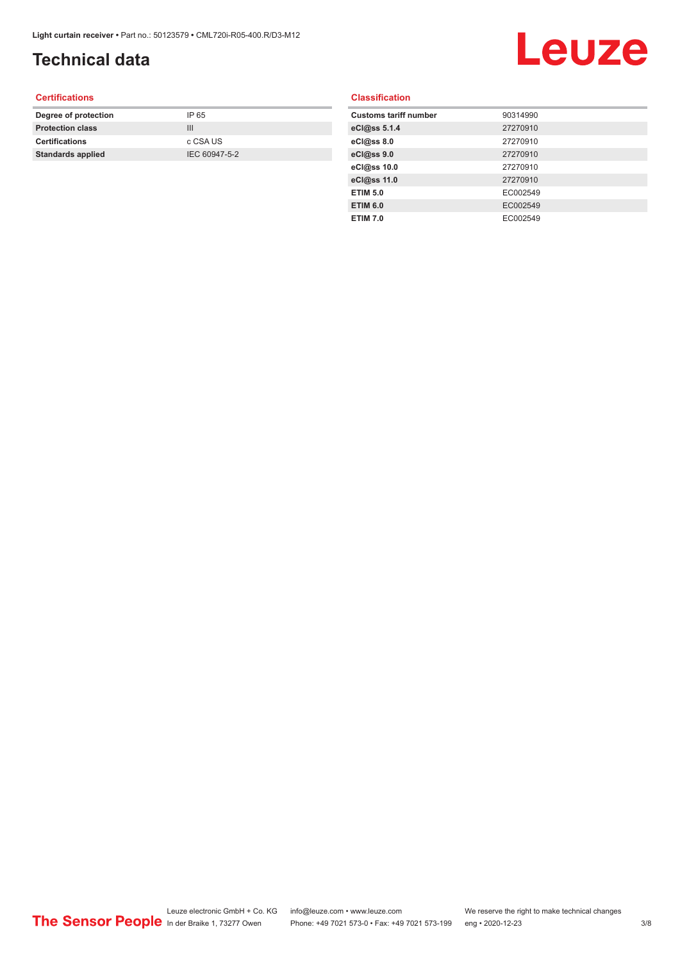## **Technical data**

# Leuze

### **Certifications**

| Degree of protection     | IP 65         |
|--------------------------|---------------|
| <b>Protection class</b>  | Ш             |
| <b>Certifications</b>    | c CSA US      |
| <b>Standards applied</b> | IEC 60947-5-2 |
|                          |               |

### **Classification**

| <b>Customs tariff number</b> | 90314990 |
|------------------------------|----------|
| eCl@ss 5.1.4                 | 27270910 |
| eCl@ss 8.0                   | 27270910 |
| eCl@ss 9.0                   | 27270910 |
| eCl@ss 10.0                  | 27270910 |
| eCl@ss 11.0                  | 27270910 |
| <b>ETIM 5.0</b>              | EC002549 |
| <b>ETIM 6.0</b>              | EC002549 |
| <b>ETIM 7.0</b>              | EC002549 |
|                              |          |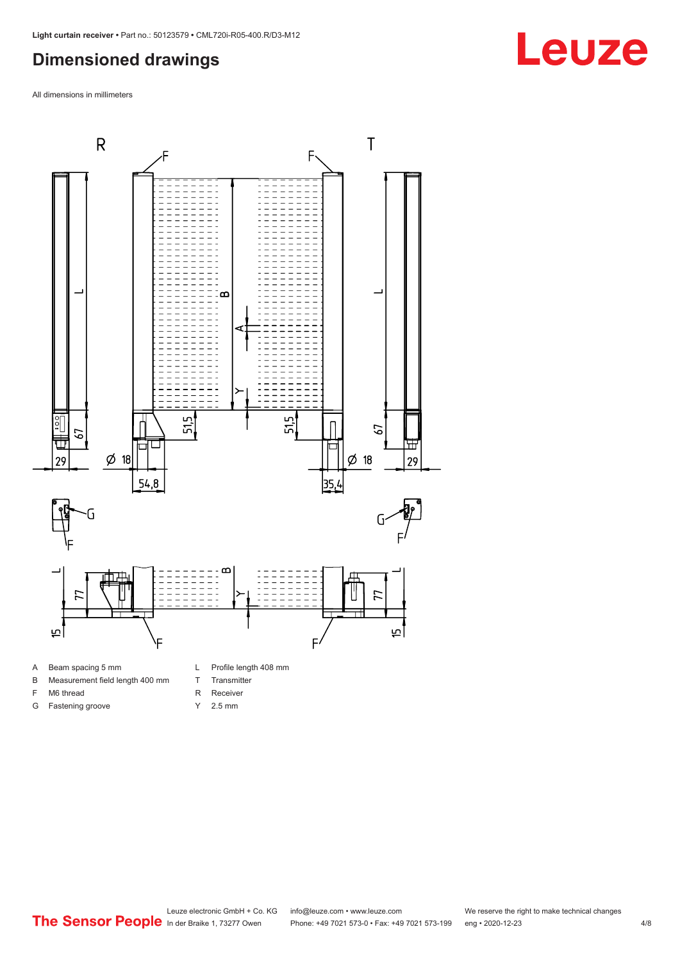### <span id="page-3-0"></span>**Dimensioned drawings**

All dimensions in millimeters



B Measurement field length 400 mm

F M6 thread G Fastening groove

- T Transmitter
	-
- R Receiver
	- Y 2.5 mm

# **Leuze**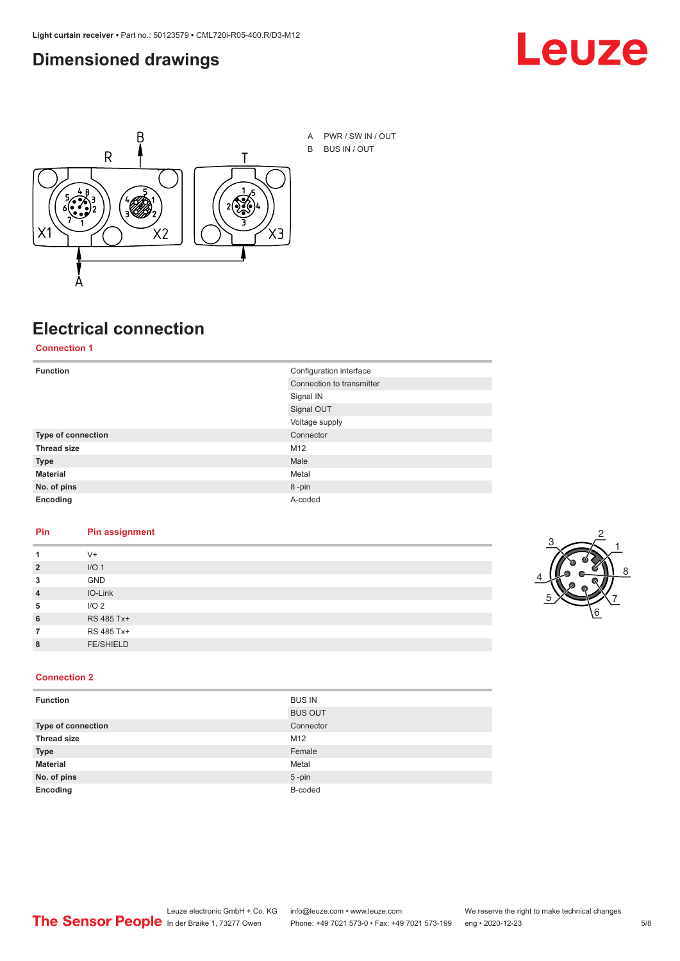### <span id="page-4-0"></span>**Dimensioned drawings**





A PWR / SW IN / OUT B BUS IN / OUT

## **Electrical connection**

### **Connection 1**

| <b>Function</b>    | Configuration interface   |
|--------------------|---------------------------|
|                    | Connection to transmitter |
|                    | Signal IN                 |
|                    | Signal OUT                |
|                    | Voltage supply            |
| Type of connection | Connector                 |
| <b>Thread size</b> | M12                       |
| <b>Type</b>        | Male                      |
| <b>Material</b>    | Metal                     |
| No. of pins        | 8-pin                     |
| Encoding           | A-coded                   |

### **Pin Pin assignment**

|                | $V +$            |  |  |
|----------------|------------------|--|--|
| $\overline{2}$ | I/O <sub>1</sub> |  |  |
| 3              | <b>GND</b>       |  |  |
| $\overline{4}$ | IO-Link          |  |  |
| 5              | I/O <sub>2</sub> |  |  |
| 6              | RS 485 Tx+       |  |  |
|                | RS 485 Tx+       |  |  |
| 8              | <b>FE/SHIELD</b> |  |  |
|                |                  |  |  |



### **Connection 2**

| <b>Function</b>    | <b>BUS IN</b>  |
|--------------------|----------------|
|                    | <b>BUS OUT</b> |
| Type of connection | Connector      |
| <b>Thread size</b> | M12            |
| <b>Type</b>        | Female         |
| <b>Material</b>    | Metal          |
| No. of pins        | $5$ -pin       |
| Encoding           | B-coded        |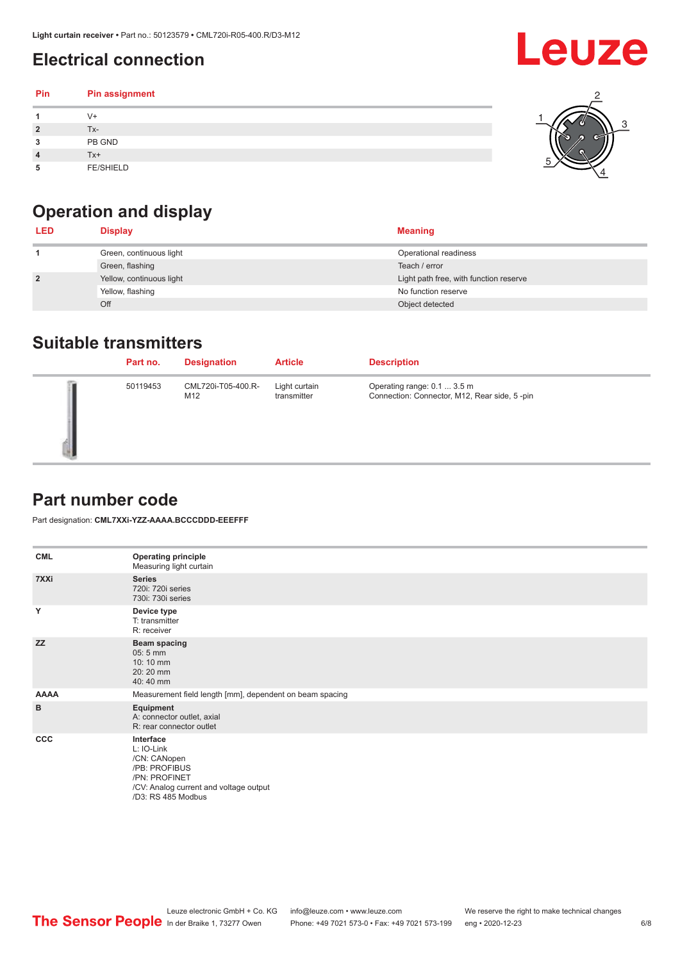## <span id="page-5-0"></span>**Electrical connection**

### **Pin Pin assignment 1** V+ **2** Tx-**3** PB GND **4** Tx+ **5** FE/SHIELD 3 2 1 5 4

## **Operation and display**

| <b>LED</b>     | <b>Display</b>           | <b>Meaning</b>                         |
|----------------|--------------------------|----------------------------------------|
|                | Green, continuous light  | Operational readiness                  |
|                | Green, flashing          | Teach / error                          |
| $\overline{2}$ | Yellow, continuous light | Light path free, with function reserve |
|                | Yellow, flashing         | No function reserve                    |
|                | Off                      | Object detected                        |

### **Suitable transmitters**

| Part no. | <b>Designation</b>        | <b>Article</b>               | <b>Description</b>                                                          |
|----------|---------------------------|------------------------------|-----------------------------------------------------------------------------|
| 50119453 | CML720i-T05-400.R-<br>M12 | Light curtain<br>transmitter | Operating range: 0.1  3.5 m<br>Connection: Connector, M12, Rear side, 5-pin |

### **Part number code**

Part designation: **CML7XXi-YZZ-AAAA.BCCCDDD-EEEFFF**

| <b>CML</b>  | <b>Operating principle</b><br>Measuring light curtain                                                                                     |
|-------------|-------------------------------------------------------------------------------------------------------------------------------------------|
| 7XXi        | <b>Series</b><br>720i: 720i series<br>730i: 730i series                                                                                   |
| Y           | Device type<br>T: transmitter<br>R: receiver                                                                                              |
| <b>ZZ</b>   | <b>Beam spacing</b><br>05:5 mm<br>10:10 mm<br>20:20 mm<br>40:40 mm                                                                        |
| <b>AAAA</b> | Measurement field length [mm], dependent on beam spacing                                                                                  |
| в           | Equipment<br>A: connector outlet, axial<br>R: rear connector outlet                                                                       |
| <b>CCC</b>  | Interface<br>L: IO-Link<br>/CN: CANopen<br>/PB: PROFIBUS<br>/PN: PROFINET<br>/CV: Analog current and voltage output<br>/D3: RS 485 Modbus |

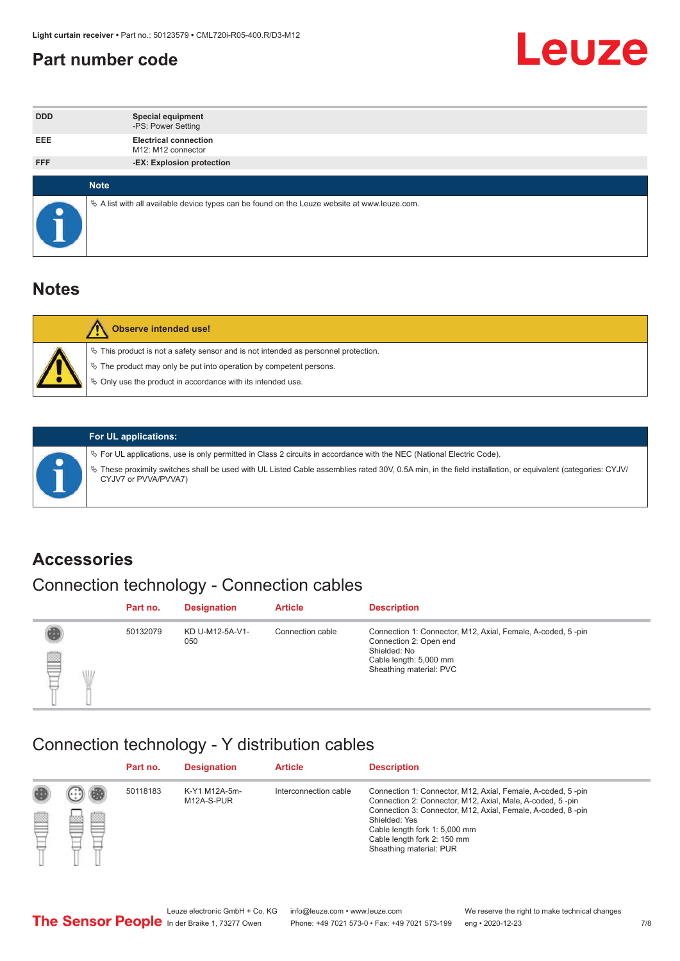### <span id="page-6-0"></span>**Part number code**



| <b>DDD</b>  | <b>Special equipment</b><br>-PS: Power Setting                                                  |
|-------------|-------------------------------------------------------------------------------------------------|
| <b>EEE</b>  | <b>Electrical connection</b><br>M12: M12 connector                                              |
| <b>FFF</b>  | -EX: Explosion protection                                                                       |
|             |                                                                                                 |
| <b>Note</b> |                                                                                                 |
|             | $\&$ A list with all available device types can be found on the Leuze website at www.leuze.com. |

### **Notes**

| Observe intended use!                                                                                                                                                                                                      |
|----------------------------------------------------------------------------------------------------------------------------------------------------------------------------------------------------------------------------|
| $\%$ This product is not a safety sensor and is not intended as personnel protection.<br>₹ The product may only be put into operation by competent persons.<br>♦ Only use the product in accordance with its intended use. |



### **For UL applications:**

ª For UL applications, use is only permitted in Class 2 circuits in accordance with the NEC (National Electric Code). ª These proximity switches shall be used with UL Listed Cable assemblies rated 30V, 0.5A min, in the field installation, or equivalent (categories: CYJV/ CYJV7 or PVVA/PVVA7)

### **Accessories**

## Connection technology - Connection cables

|        | Part no. | <b>Designation</b>     | <b>Article</b>   | <b>Description</b>                                                                                                                                         |
|--------|----------|------------------------|------------------|------------------------------------------------------------------------------------------------------------------------------------------------------------|
| 2<br>W | 50132079 | KD U-M12-5A-V1-<br>050 | Connection cable | Connection 1: Connector, M12, Axial, Female, A-coded, 5-pin<br>Connection 2: Open end<br>Shielded: No<br>Cable length: 5,000 mm<br>Sheathing material: PVC |

### Connection technology - Y distribution cables

|   |   | Part no. | <b>Designation</b>          | <b>Article</b>        | <b>Description</b>                                                                                                                                                                                                                                                                                  |
|---|---|----------|-----------------------------|-----------------------|-----------------------------------------------------------------------------------------------------------------------------------------------------------------------------------------------------------------------------------------------------------------------------------------------------|
| Ø | ø | 50118183 | K-Y1 M12A-5m-<br>M12A-S-PUR | Interconnection cable | Connection 1: Connector, M12, Axial, Female, A-coded, 5-pin<br>Connection 2: Connector, M12, Axial, Male, A-coded, 5-pin<br>Connection 3: Connector, M12, Axial, Female, A-coded, 8-pin<br>Shielded: Yes<br>Cable length fork 1: 5,000 mm<br>Cable length fork 2: 150 mm<br>Sheathing material: PUR |